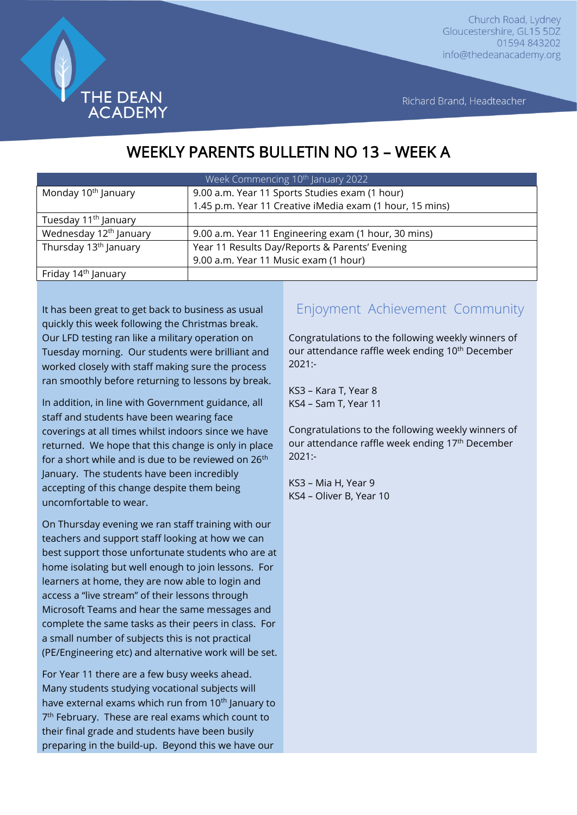

Richard Brand, Headteacher

# WEEKLY PARENTS BULLETIN NO 13 – WEEK A

| Week Commencing 10 <sup>th</sup> January 2022 |                                                          |  |  |
|-----------------------------------------------|----------------------------------------------------------|--|--|
| Monday 10 <sup>th</sup> January               | 9.00 a.m. Year 11 Sports Studies exam (1 hour)           |  |  |
|                                               | 1.45 p.m. Year 11 Creative iMedia exam (1 hour, 15 mins) |  |  |
| Tuesday 11 <sup>th</sup> January              |                                                          |  |  |
| Wednesday 12 <sup>th</sup> January            | 9.00 a.m. Year 11 Engineering exam (1 hour, 30 mins)     |  |  |
| Thursday 13 <sup>th</sup> January             | Year 11 Results Day/Reports & Parents' Evening           |  |  |
|                                               | 9.00 a.m. Year 11 Music exam (1 hour)                    |  |  |
| Friday 14 <sup>th</sup> January               |                                                          |  |  |

It has been great to get back to business as usual quickly this week following the Christmas break. Our LFD testing ran like a military operation on Tuesday morning. Our students were brilliant and worked closely with staff making sure the process ran smoothly before returning to lessons by break.

In addition, in line with Government guidance, all staff and students have been wearing face coverings at all times whilst indoors since we have returned. We hope that this change is only in place for a short while and is due to be reviewed on  $26<sup>th</sup>$ January. The students have been incredibly accepting of this change despite them being uncomfortable to wear.

On Thursday evening we ran staff training with our teachers and support staff looking at how we can best support those unfortunate students who are at home isolating but well enough to join lessons. For learners at home, they are now able to login and access a "live stream" of their lessons through Microsoft Teams and hear the same messages and complete the same tasks as their peers in class. For a small number of subjects this is not practical (PE/Engineering etc) and alternative work will be set.

For Year 11 there are a few busy weeks ahead. Many students studying vocational subjects will have external exams which run from 10<sup>th</sup> January to 7<sup>th</sup> February. These are real exams which count to their final grade and students have been busily preparing in the build-up. Beyond this we have our

# Enjoyment Achievement Community

Congratulations to the following weekly winners of our attendance raffle week ending 10<sup>th</sup> December 2021:-

KS3 – Kara T, Year 8 KS4 – Sam T, Year 11

Congratulations to the following weekly winners of our attendance raffle week ending 17<sup>th</sup> December 2021:-

KS3 – Mia H, Year 9 KS4 – Oliver B, Year 10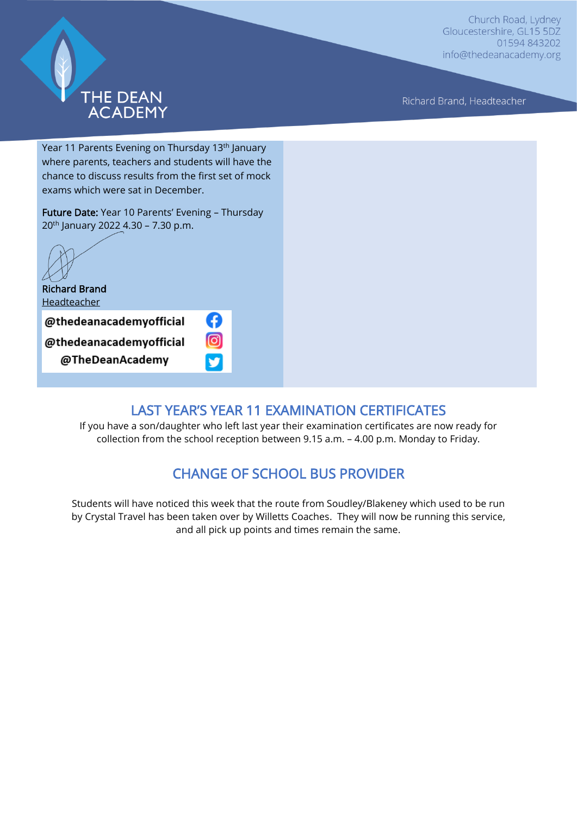

Richard Brand, Headteacher

Year 11 Parents Evening on Thursday 13<sup>th</sup> January where parents, teachers and students will have the chance to discuss results from the first set of mock exams which were sat in December.

Future Date: Year 10 Parents' Evening – Thursday 20th January 2022 4.30 – 7.30 p.m.

Richard Brand Headteacher

@thedeanacademyofficial

@thedeanacademyofficial @TheDeanAcademy

| I |  |
|---|--|
| I |  |
|   |  |

### LAST YEAR'S YEAR 11 EXAMINATION CERTIFICATES

If you have a son/daughter who left last year their examination certificates are now ready for collection from the school reception between 9.15 a.m. – 4.00 p.m. Monday to Friday.

# CHANGE OF SCHOOL BUS PROVIDER

Students will have noticed this week that the route from Soudley/Blakeney which used to be run by Crystal Travel has been taken over by Willetts Coaches. They will now be running this service, and all pick up points and times remain the same.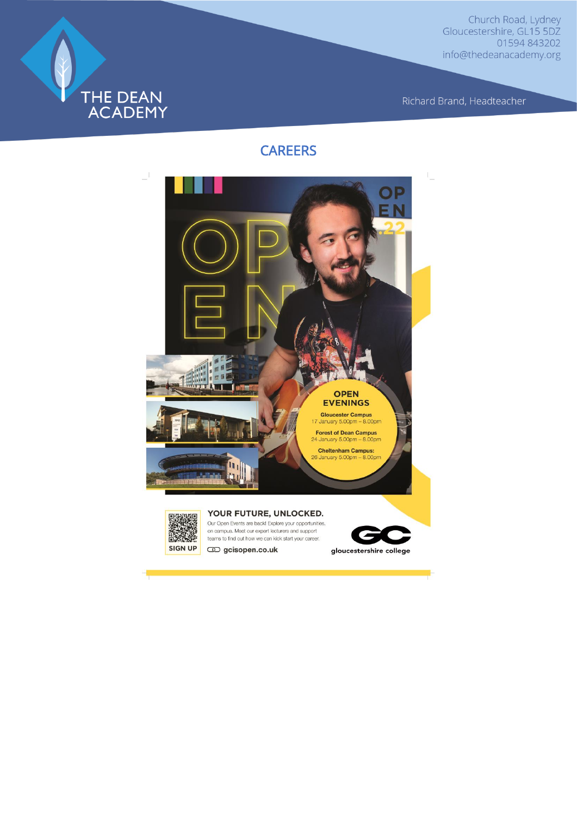

Richard Brand, Headteacher

#### **CAREERS**

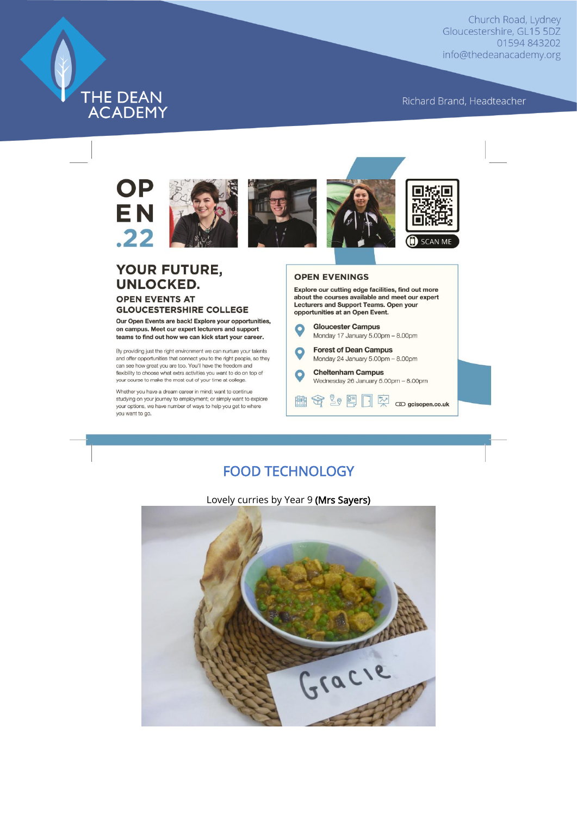

Richard Brand, Headteacher



#### FOOD TECHNOLOGY

#### Lovely curries by Year 9 (Mrs Sayers)

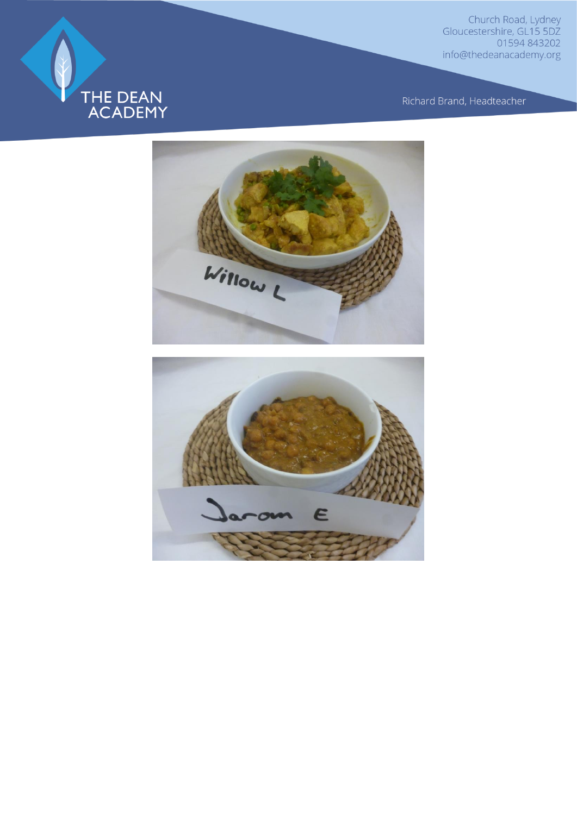

Richard Brand, Headteacher



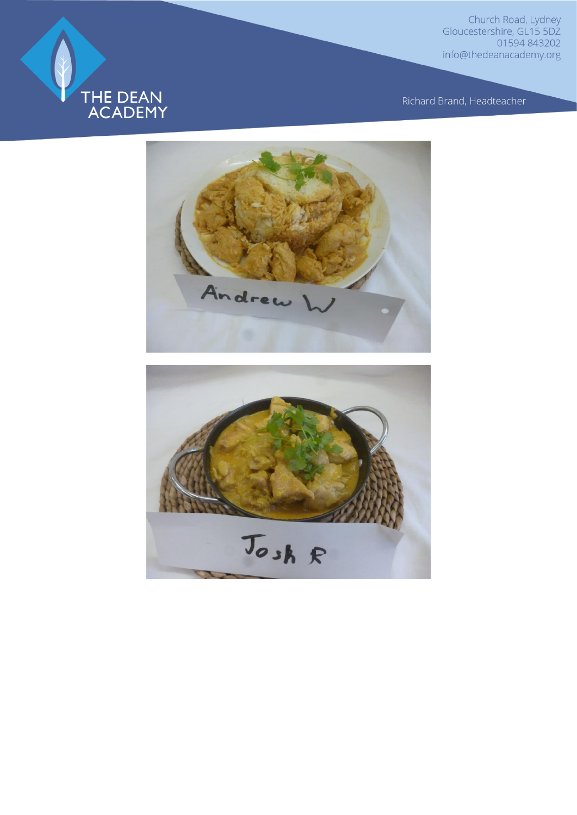

Richard Brand, Headteacher



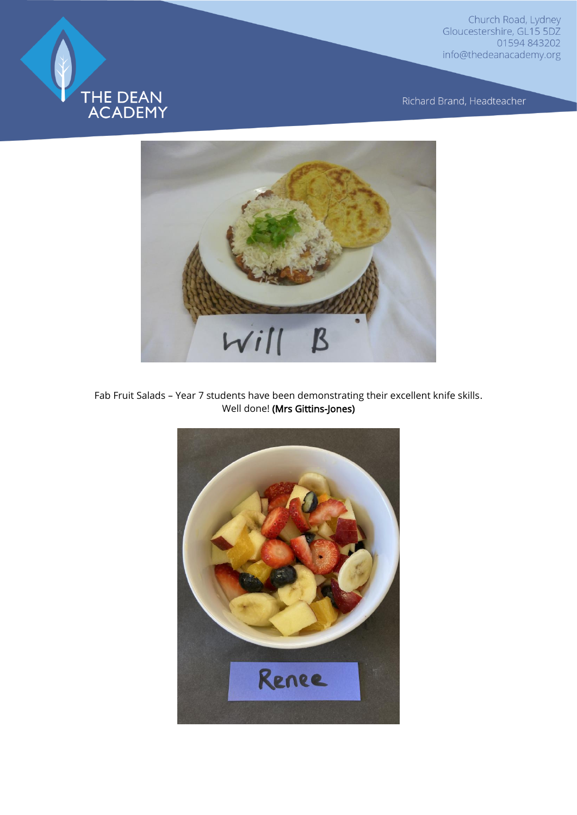

Richard Brand, Headteacher



Fab Fruit Salads – Year 7 students have been demonstrating their excellent knife skills. Well done! (Mrs Gittins-Jones)

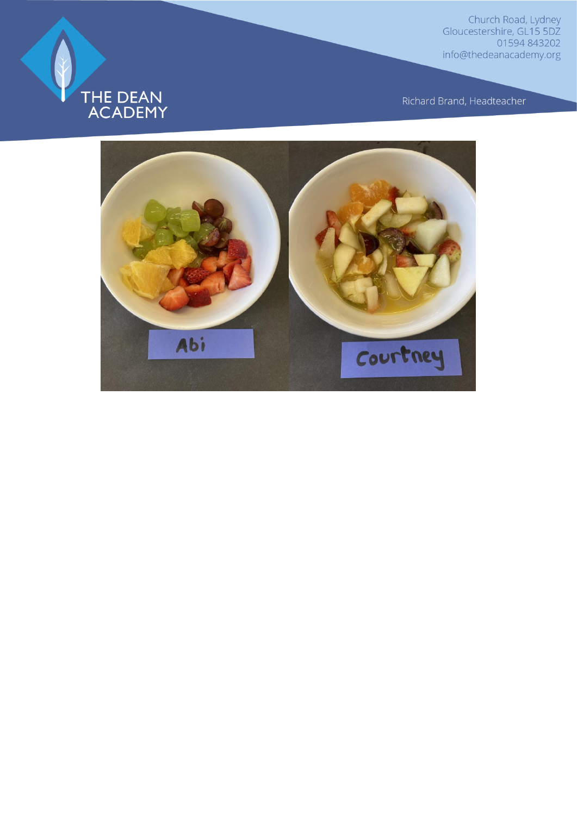

Richard Brand, Headteacher